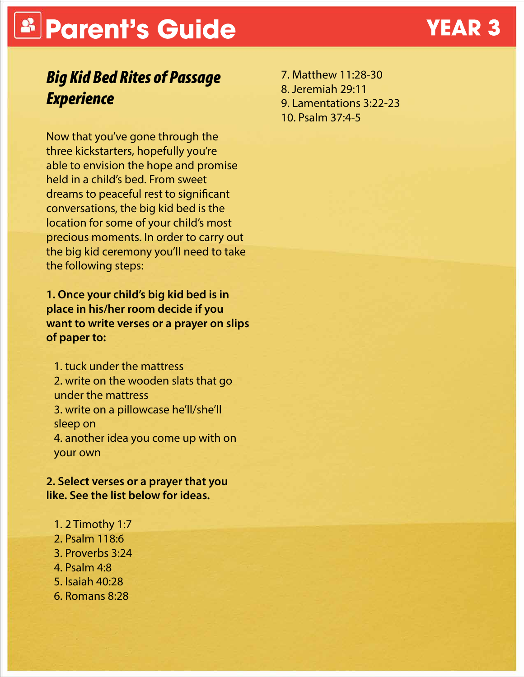# **Parent's Guide YEAR 3**

## *Big Kid Bed Rites of Passage Experience*

Now that you've gone through the three kickstarters, hopefully you're able to envision the hope and promise held in a child's bed. From sweet dreams to peaceful rest to significant conversations, the big kid bed is the location for some of your child's most precious moments. In order to carry out the big kid ceremony you'll need to take the following steps:

**1. Once your child's big kid bed is in place in his/her room decide if you want to write verses or a prayer on slips of paper to:**

1. tuck under the mattress 2. write on the wooden slats that go under the mattress 3. write on a pillowcase he'll/she'll sleep on 4. another idea you come up with on your own

**2. Select verses or a prayer that you like. See the list below for ideas.**

- 1. 2 Timothy 1:7
- 2. Psalm 118:6
- 3. Proverbs 3:24
- 4. Psalm 4:8
- 5. Isaiah 40:28
- 6. Romans 8:28

7. Matthew 11:28-30 8. Jeremiah 29:11 9. Lamentations 3:22-23 10. Psalm 37:4-5